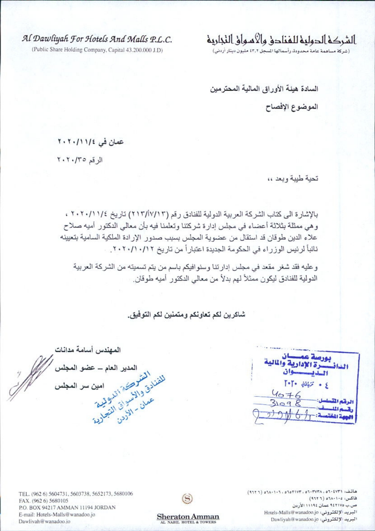Al Dawliyah For Hotels And Malls P.L.C.

(Public Share Holding Company, Capital 43.200.000 J.D)

الشركه الدوليه للفنادق والاسواق النجاريه

(شركة مساهمة عامة محدودة، رأسمالها السجل ٤٣,٢ مليون دينار أردني)

السادة هيئة الأوراق المالية المحترمين

الموضوع الإفصاح

عمان في ١/ ٢٠١١/٢

الرقم ٢٠٢٠/٣٥

تحية طيبة وبعد ،،

بالإشارة الى كتاب الشركة العربية الدولية للفنادق رقم (٢١٣/١٧/١٣) تاريخ ١١١/٢٠/١١٤ ، و هي ممثلة بثلاثة أعضاء في مجلس إدارة شركتنا وتعلمنا فيه بأن معالى الدكتور أميه صلاح علاء الدين طوقان قد استقال من عضوية المجلس بسبب صدور الإرادة الملكية السامية بتعيينه نائباً لرئيس الوزراء في الحكومة الجديدة اعتباراً من تاريخ ١٦/١٠/١٠/١٢.

و عليه فقد شغر مقعد في مجلس إدارتنا وسنوافيكم باسم من يتم تسميته من الشركة العربية الدولية للفنادق ليكون ممثلاً لهم بدلاً من معالى الدكتور أميه طوقان.

شاكرين لكم تعاونكم ومتمنين لكم التوفيق.

بورصة عمسيان<br>الدانــــــــرة الإدارية والمالية<br>الـــايــــــــــــوان  $T^*T^*$   $d\hat{u}^{**}_{\pi}$   $\rightarrow$   $\xi$  $4076$ الرقم الق

المهندس أسامة مدانات النشر المتشر المستعمل المستعمل المستعمل المستعمل المستعمل المستعمل المستعمل المستعمل المستعمل المستعمل المستعم المدير العام – عضو المجلس امين سر المجلس

هاتف: ٢٦٢١: ٥٦٠٢٧٣٨, ٥٦٠٣٧٣٨, ٢٦٢٢١، ١٠٦، ١٠١٥ (٢٦٢٦) فاكس: ١٠٤-١٠٨٥ (١٦٢٦) ص.ب «۹٤٢١٧ عمان ١١١٩٤ الأردن البريد الإلكتروني: Hotels-Malls@wanadoo.jo البريد الإلكتروني: Dawliyah@wanadoo.jo





**Sheraton Amman** 

**L NABIL HOTEL & TOWER**